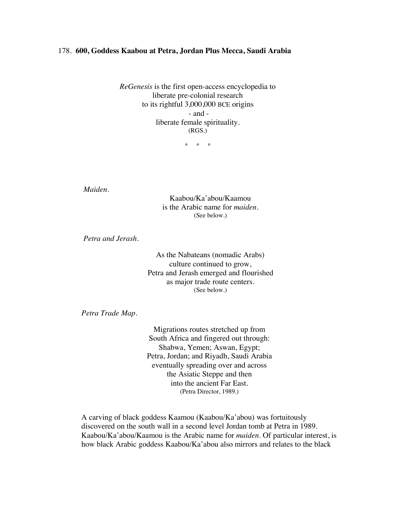## 178. **600, Goddess Kaabou at Petra, Jordan Plus Mecca, Saudi Arabia**

*ReGenesis* is the first open-access encyclopedia to liberate pre-colonial research to its rightful 3,000,000 BCE origins - and liberate female spirituality. (RGS.)

\* \* \*

*Maiden*.

Kaabou/Ka'abou/Kaamou is the Arabic name for *maiden*. (See below.)

*Petra and Jerash.*

As the Nabateans (nomadic Arabs) culture continued to grow, Petra and Jerash emerged and flourished as major trade route centers. (See below.)

*Petra Trade Map.*

Migrations routes stretched up from South Africa and fingered out through: Shabwa, Yemen; Aswan, Egypt; Petra, Jordan; and Riyadh, Saudi Arabia eventually spreading over and across the Asiatic Steppe and then into the ancient Far East. (Petra Director, 1989.)

A carving of black goddess Kaamou (Kaabou/Ka'abou) was fortuitously discovered on the south wall in a second level Jordan tomb at Petra in 1989. Kaabou/Ka'abou/Kaamou is the Arabic name for *maiden*. Of particular interest, is how black Arabic goddess Kaabou/Ka'abou also mirrors and relates to the black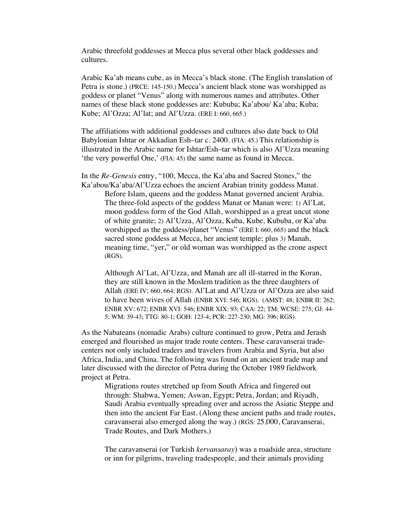Arabic threefold goddesses at Mecca plus several other black goddesses and cultures.

Arabic Ka'ab means cube, as in Mecca's black stone. (The English translation of Petra is stone.) (PRCE: 145-150.) Mecca's ancient black stone was worshipped as goddess or planet "Venus" along with numerous names and attributes. Other names of these black stone goddesses are: Kububa; Ka'abou/ Ka'aba; Kuba; Kube; Al'Ozza; Al'lat; and Al'Uzza. (ERE I: 660, 665.)

The affiliations with additional goddesses and cultures also date back to Old Babylonian Ishtar or Akkadian Esh–tar c. 2400. (FIA: 45.) This relationship is illustrated in the Arabic name for Ishtar/Esh–tar which is also Al'Uzza meaning 'the very powerful One,' (FIA: 45) the same name as found in Mecca.

In the *Re-Genesis* entry, "100, Mecca, the Ka'aba and Sacred Stones," the Ka'abou/Ka'aba/Al'Uzza echoes the ancient Arabian trinity goddess Manat. Before Islam, queens and the goddess Manat governed ancient Arabia. The three-fold aspects of the goddess Manat or Manan were: 1) Al'Lat, moon goddess form of the God Allah, worshipped as a great uncut stone of white granite; 2) Al'Uzza, Al'Ozza, Kuba, Kube, Kububa, or Ka'aba worshipped as the goddess/planet "Venus" (ERE I: 660, 665) and the black sacred stone goddess at Mecca, her ancient temple; plus 3) Manah, meaning time, "yer," or old woman was worshipped as the crone aspect (RGS).

Although Al'Lat, Al'Uzza, and Manah are all ill-starred in the Koran, they are still known in the Moslem tradition as the three daughters of Allah (ERE IV: 660, 664; RGS). Al'Lat and Al'Uzza or Al'Ozza are also said to have been wives of Allah (ENBR XVI: 546; RGS). (AMST: 48; ENBR II: 262; ENBR XV: 672; ENBR XVI: 546; ENBR XIX: 93; CAA: 22; TM; WCSE: 275; GJ: 44- 5; WM: 39-43; TTG: 80-1; GOH: 123-4; PCR: 227-230; MG: 396; RGS).

As the Nabateans (nomadic Arabs) culture continued to grow, Petra and Jerash emerged and flourished as major trade route centers. These caravanserai tradecenters not only included traders and travelers from Arabia and Syria, but also Africa, India, and China. The following was found on an ancient trade map and later discussed with the director of Petra during the October 1989 fieldwork project at Petra.

Migrations routes stretched up from South Africa and fingered out through: Shabwa, Yemen; Aswan, Egypt; Petra, Jordan; and Riyadh, Saudi Arabia eventually spreading over and across the Asiatic Steppe and then into the ancient Far East. (Along these ancient paths and trade routes, caravanserai also emerged along the way.) (RGS: 25,000, Caravanserai, Trade Routes, and Dark Mothers.)

The caravanserai (or Turkish *kervansaray*) was a roadside area, structure or inn for pilgrims, traveling tradespeople, and their animals providing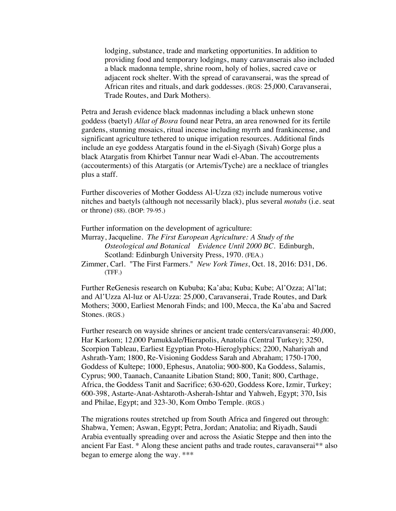lodging, substance, trade and marketing opportunities. In addition to providing food and temporary lodgings, many caravanserais also included a black madonna temple, shrine room, holy of holies, sacred cave or adjacent rock shelter. With the spread of caravanserai, was the spread of African rites and rituals, and dark goddesses. (RGS: 25,000, Caravanserai, Trade Routes, and Dark Mothers).

Petra and Jerash evidence black madonnas including a black unhewn stone goddess (baetyl) *Allat of Bosra* found near Petra, an area renowned for its fertile gardens, stunning mosaics, ritual incense including myrrh and frankincense, and significant agriculture tethered to unique irrigation resources. Additional finds include an eye goddess Atargatis found in the el-Siyagh (Sivah) Gorge plus a black Atargatis from Khirbet Tannur near Wadi el-Aban. The accoutrements (accouterments) of this Atargatis (or Artemis/Tyche) are a necklace of triangles plus a staff.

Further discoveries of Mother Goddess Al-Uzza (82) include numerous votive nitches and baetyls (although not necessarily black), plus several *motabs* (i.e. seat or throne) (88). (BOP: 79-95.)

Further information on the development of agriculture:

Murray, Jacqueline. *The First European Agriculture: A Study of the Osteological and Botanical Evidence Until 2000 BC*. Edinburgh, Scotland: Edinburgh University Press, 1970. (FEA.)

Zimmer, Carl. "The First Farmers." *New York Times*, Oct. 18, 2016: D31, D6. (TFF.)

Further ReGenesis research on Kububa; Ka'aba; Kuba; Kube; Al'Ozza; Al'lat; and Al'Uzza Al-luz or Al-Uzza: 25,000, Caravanserai, Trade Routes, and Dark Mothers; 3000, Earliest Menorah Finds; and 100, Mecca, the Ka'aba and Sacred Stones. (RGS.)

Further research on wayside shrines or ancient trade centers/caravanserai: 40,000, Har Karkom; 12,000 Pamukkale*/*Hierapolis, Anatolia (Central Turkey); 3250, Scorpion Tableau, Earliest Egyptian Proto-Hieroglyphics; 2200, Nahariyah and Ashrath-Yam; 1800, Re-Visioning Goddess Sarah and Abraham; 1750-1700, Goddess of Kultepe; 1000, Ephesus, Anatolia; 900-800, Ka Goddess, Salamis, Cyprus; 900, Taanach, Canaanite Libation Stand; 800, Tanit; 800, Carthage, Africa, the Goddess Tanit and Sacrifice; 630-620, Goddess Kore, Izmir, Turkey; 600-398, Astarte-Anat-Ashtaroth-Asherah-Ishtar and Yahweh, Egypt; 370, Isis and Philae, Egypt; and 323-30, Kom Ombo Temple. (RGS.)

The migrations routes stretched up from South Africa and fingered out through: Shabwa, Yemen; Aswan, Egypt; Petra, Jordan; Anatolia; and Riyadh, Saudi Arabia eventually spreading over and across the Asiatic Steppe and then into the ancient Far East. \* Along these ancient paths and trade routes, caravanserai\*\* also began to emerge along the way. \*\*\*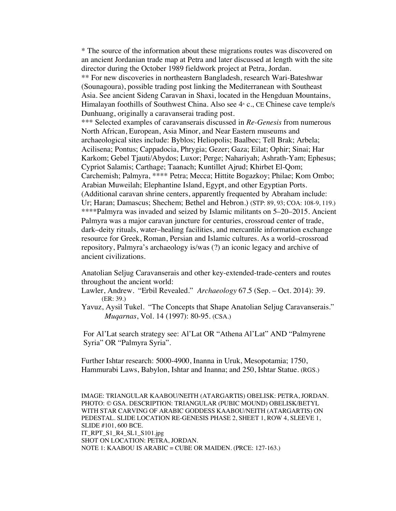\* The source of the information about these migrations routes was discovered on an ancient Jordanian trade map at Petra and later discussed at length with the site director during the October 1989 fieldwork project at Petra, Jordan. \*\* For new discoveries in northeastern Bangladesh, research Wari-Bateshwar (Sounagoura), possible trading post linking the Mediterranean with Southeast Asia. See ancient Sideng Caravan in Shaxi, located in the Hengduan Mountains, Himalayan foothills of Southwest China. Also see  $4<sup>*</sup>$  c., CE Chinese cave temple/s Dunhuang, originally a caravanserai trading post. \*\*\* Selected examples of caravanserais discussed in *Re-Genesis* from numerous North African, European, Asia Minor, and Near Eastern museums and archaeological sites include: Byblos; Heliopolis; Baalbec; Tell Brak; Arbela; Acilisena; Pontus; Cappadocia, Phrygia; Gezer; Gaza; Eilat; Ophir; Sinai; Har Karkom; Gebel Tjauti/Abydos; Luxor; Perge; Nahariyah; Ashrath-Yam; Ephesus; Cypriot Salamis; Carthage; Taanach; Kuntillet Ajrud; Khirbet El-Qom; Carchemish; Palmyra, \*\*\*\* Petra; Mecca; Hittite Bogazkoy; Philae; Kom Ombo; Arabian Muweilah; Elephantine Island, Egypt, and other Egyptian Ports. (Additional caravan shrine centers, apparently frequented by Abraham include: Ur; Haran; Damascus; Shechem; Bethel and Hebron.) (STP: 89, 93; COA: 108-9, 119.) \*\*\*\*Palmyra was invaded and seized by Islamic militants on 5–20–2015. Ancient Palmyra was a major caravan juncture for centuries, crossroad center of trade, dark–deity rituals, water–healing facilities, and mercantile information exchange resource for Greek, Roman, Persian and Islamic cultures. As a world–crossroad repository, Palmyra's archaeology is/was (?) an iconic legacy and archive of ancient civilizations.

Anatolian Seljug Caravanserais and other key-extended-trade-centers and routes throughout the ancient world:

- Lawler, Andrew. "Erbil Revealed." *Archaeology* 67.5 (Sep. Oct. 2014): 39. (ER: 39.)
- Yavuz, Aysil Tukel. "The Concepts that Shape Anatolian Seljug Caravanserais." *Muqarnas*, Vol. 14 (1997): 80-95. (CSA.)

For Al'Lat search strategy see: Al'Lat OR "Athena Al'Lat" AND "Palmyrene Syria" OR "Palmyra Syria".

Further Ishtar research: 5000-4900, Inanna in Uruk, Mesopotamia; 1750, Hammurabi Laws, Babylon, Ishtar and Inanna; and 250, Ishtar Statue. (RGS.)

IMAGE: TRIANGULAR KAABOU/NEITH (ATARGARTIS) OBELISK: PETRA, JORDAN. PHOTO: © GSA. DESCRIPTION: TRIANGULAR (PUBIC MOUND) OBELISK/BETYL WITH STAR CARVING OF ARABIC GODDESS KAABOU/NEITH (ATARGARTIS) ON PEDESTAL. SLIDE LOCATION RE-GENESIS PHASE 2, SHEET 1, ROW 4, SLEEVE 1, SLIDE #101, 600 BCE. IT\_RPT\_S1\_R4\_SL1\_S101.jpg SHOT ON LOCATION: PETRA, JORDAN. NOTE 1: KAABOU IS ARABIC = CUBE OR MAIDEN. (PRCE: 127-163.)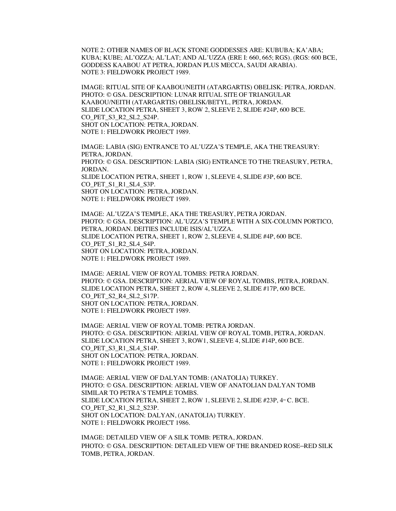NOTE 2: OTHER NAMES OF BLACK STONE GODDESSES ARE: KUBUBA; KA'ABA; KUBA; KUBE; AL'OZZA; AL'LAT; AND AL'UZZA (ERE I: 660, 665; RGS). (RGS: 600 BCE, GODDESS KAABOU AT PETRA, JORDAN PLUS MECCA, SAUDI ARABIA). NOTE 3: FIELDWORK PROJECT 1989.

IMAGE: RITUAL SITE OF KAABOU/NEITH (ATARGARTIS) OBELISK: PETRA, JORDAN. PHOTO: © GSA. DESCRIPTION: LUNAR RITUAL SITE OF TRIANGULAR KAABOU/NEITH (ATARGARTIS) OBELISK/BETYL, PETRA, JORDAN. SLIDE LOCATION PETRA, SHEET 3, ROW 2, SLEEVE 2, SLIDE #24P, 600 BCE. CO\_PET\_S3\_R2\_SL2\_S24P. SHOT ON LOCATION: PETRA, JORDAN. NOTE 1: FIELDWORK PROJECT 1989.

IMAGE: LABIA (SIG) ENTRANCE TO AL'UZZA'S TEMPLE, AKA THE TREASURY: PETRA, JORDAN. PHOTO: © GSA. DESCRIPTION: LABIA (SIG) ENTRANCE TO THE TREASURY, PETRA, JORDAN. SLIDE LOCATION PETRA, SHEET 1, ROW 1, SLEEVE 4, SLIDE #3P, 600 BCE. CO PET S1 R1\_SL4\_S3P. SHOT ON LOCATION: PETRA, JORDAN. NOTE 1: FIELDWORK PROJECT 1989.

IMAGE: AL'UZZA'S TEMPLE, AKA THE TREASURY, PETRA JORDAN. PHOTO: © GSA. DESCRIPTION: AL'UZZA'S TEMPLE WITH A SIX-COLUMN PORTICO, PETRA, JORDAN. DEITIES INCLUDE ISIS/AL'UZZA. SLIDE LOCATION PETRA, SHEET 1, ROW 2, SLEEVE 4, SLIDE #4P, 600 BCE. CO PET S1 R2 SL4 S4P. SHOT ON LOCATION: PETRA, JORDAN. NOTE 1: FIELDWORK PROJECT 1989.

IMAGE: AERIAL VIEW OF ROYAL TOMBS: PETRA JORDAN. PHOTO: © GSA. DESCRIPTION: AERIAL VIEW OF ROYAL TOMBS, PETRA, JORDAN. SLIDE LOCATION PETRA, SHEET 2, ROW 4, SLEEVE 2, SLIDE #17P, 600 BCE. CO PET S2 R4 SL2 S17P. SHOT ON LOCATION: PETRA, JORDAN. NOTE 1: FIELDWORK PROJECT 1989.

IMAGE: AERIAL VIEW OF ROYAL TOMB: PETRA JORDAN. PHOTO: © GSA. DESCRIPTION: AERIAL VIEW OF ROYAL TOMB, PETRA, JORDAN. SLIDE LOCATION PETRA, SHEET 3, ROW1, SLEEVE 4, SLIDE #14P, 600 BCE. CO\_PET\_S3\_R1\_SL4\_S14P. SHOT ON LOCATION: PETRA, JORDAN. NOTE 1: FIELDWORK PROJECT 1989.

IMAGE: AERIAL VIEW OF DALYAN TOMB: (ANATOLIA) TURKEY. PHOTO: © GSA. DESCRIPTION: AERIAL VIEW OF ANATOLIAN DALYAN TOMB SIMILAR TO PETRA'S TEMPLE TOMBS. SLIDE LOCATION PETRA, SHEET 2, ROW 1, SLEEVE 2, SLIDE #23P,  $4^{\text{th}}$  C. BCE. CO\_PET\_S2\_R1\_SL2\_S23P. SHOT ON LOCATION: DALYAN, (ANATOLIA) TURKEY. NOTE 1: FIELDWORK PROJECT 1986.

IMAGE: DETAILED VIEW OF A SILK TOMB: PETRA, JORDAN. PHOTO: © GSA. DESCRIPTION: DETAILED VIEW OF THE BRANDED ROSE–RED SILK TOMB, PETRA, JORDAN.